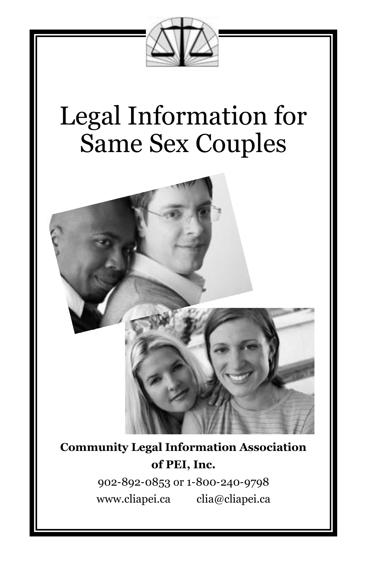

# Legal Information for Same Sex Couples



**Community Legal Information Association of PEI, Inc.**

> 902-892-0853 or 1-800-240-9798 www.cliapei.ca clia@cliapei.ca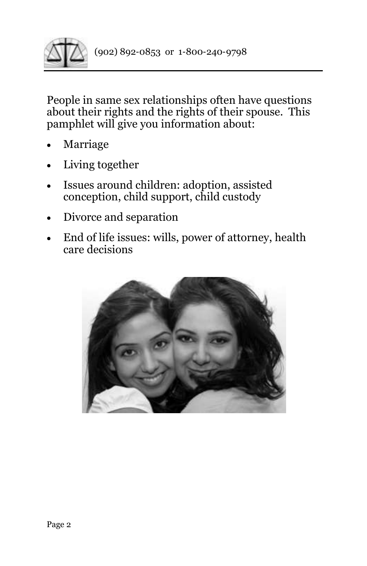

People in same sex relationships often have questions about their rights and the rights of their spouse. This pamphlet will give you information about:

- **Marriage**
- Living together
- Issues around children: adoption, assisted conception, child support, child custody
- Divorce and separation
- End of life issues: wills, power of attorney, health care decisions

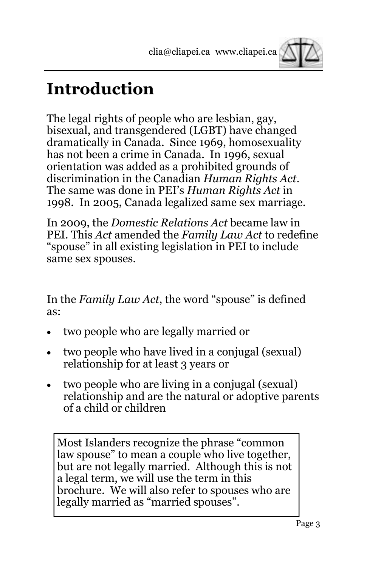

### **Introduction**

The legal rights of people who are lesbian, gay, bisexual, and transgendered (LGBT) have changed dramatically in Canada. Since 1969, homosexuality has not been a crime in Canada. In 1996, sexual orientation was added as a prohibited grounds of discrimination in the Canadian *Human Rights Act*. The same was done in PEI's *Human Rights Act* in 1998. In 2005, Canada legalized same sex marriage.

In 2009, the *Domestic Relations Act* became law in PEI. This *Act* amended the *Family Law Act* to redefine "spouse" in all existing legislation in PEI to include same sex spouses.

In the *Family Law Act*, the word "spouse" is defined as:

- two people who are legally married or
- two people who have lived in a conjugal (sexual) relationship for at least 3 years or
- two people who are living in a conjugal (sexual) relationship and are the natural or adoptive parents of a child or children

Most Islanders recognize the phrase "common law spouse" to mean a couple who live together, but are not legally married. Although this is not a legal term, we will use the term in this brochure. We will also refer to spouses who are legally married as "married spouses".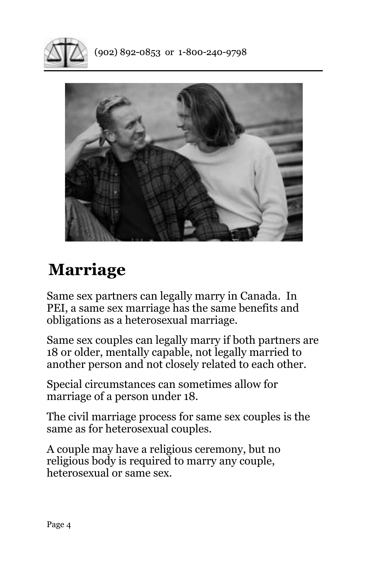



## **Marriage**

Same sex partners can legally marry in Canada. In PEI, a same sex marriage has the same benefits and obligations as a heterosexual marriage.

Same sex couples can legally marry if both partners are 18 or older, mentally capable, not legally married to another person and not closely related to each other.

Special circumstances can sometimes allow for marriage of a person under 18.

The civil marriage process for same sex couples is the same as for heterosexual couples.

A couple may have a religious ceremony, but no religious body is required to marry any couple, heterosexual or same sex.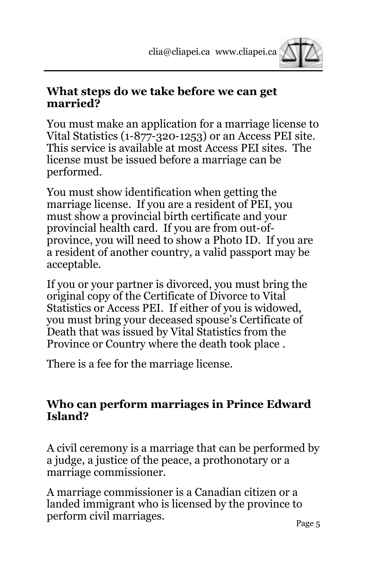

#### **What steps do we take before we can get married?**

You must make an application for a marriage license to Vital Statistics (1-877-320-1253) or an Access PEI site. This service is available at most Access PEI sites. The license must be issued before a marriage can be performed.

You must show identification when getting the marriage license. If you are a resident of PEI, you must show a provincial birth certificate and your provincial health card. If you are from out-ofprovince, you will need to show a Photo ID. If you are a resident of another country, a valid passport may be acceptable.

If you or your partner is divorced, you must bring the original copy of the Certificate of Divorce to Vital Statistics or Access PEI. If either of you is widowed, you must bring your deceased spouse's Certificate of Death that was issued by Vital Statistics from the Province or Country where the death took place .

There is a fee for the marriage license.

#### **Who can perform marriages in Prince Edward Island?**

A civil ceremony is a marriage that can be performed by a judge, a justice of the peace, a prothonotary or a marriage commissioner.

A marriage commissioner is a Canadian citizen or a landed immigrant who is licensed by the province to perform civil marriages.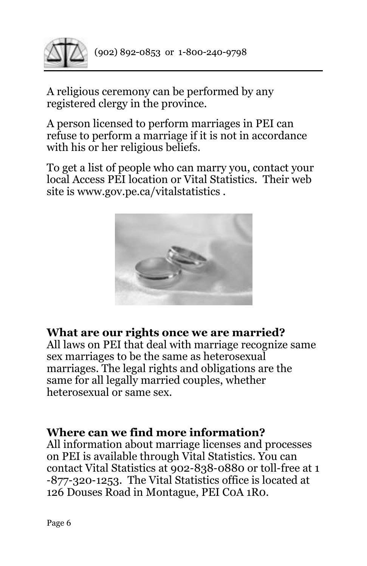

A religious ceremony can be performed by any registered clergy in the province.

A person licensed to perform marriages in PEI can refuse to perform a marriage if it is not in accordance with his or her religious beliefs.

To get a list of people who can marry you, contact your local Access PEI location or Vital Statistics. Their web site is www.gov.pe.ca/vitalstatistics .



#### **What are our rights once we are married?**

All laws on PEI that deal with marriage recognize same sex marriages to be the same as heterosexual marriages. The legal rights and obligations are the same for all legally married couples, whether heterosexual or same sex.

#### **Where can we find more information?**

All information about marriage licenses and processes on PEI is available through Vital Statistics. You can contact Vital Statistics at 902-838-0880 or toll-free at 1 -877-320-1253. The Vital Statistics office is located at 126 Douses Road in Montague, PEI C0A 1R0.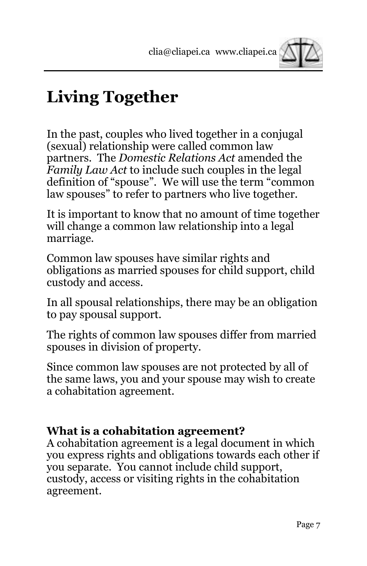

# **Living Together**

In the past, couples who lived together in a conjugal (sexual) relationship were called common law partners. The *Domestic Relations Act* amended the *Family Law Act* to include such couples in the legal definition of "spouse". We will use the term "common law spouses" to refer to partners who live together.

It is important to know that no amount of time together will change a common law relationship into a legal marriage.

Common law spouses have similar rights and obligations as married spouses for child support, child custody and access.

In all spousal relationships, there may be an obligation to pay spousal support.

The rights of common law spouses differ from married spouses in division of property.

Since common law spouses are not protected by all of the same laws, you and your spouse may wish to create a cohabitation agreement.

#### **What is a cohabitation agreement?**

A cohabitation agreement is a legal document in which you express rights and obligations towards each other if you separate. You cannot include child support, custody, access or visiting rights in the cohabitation agreement.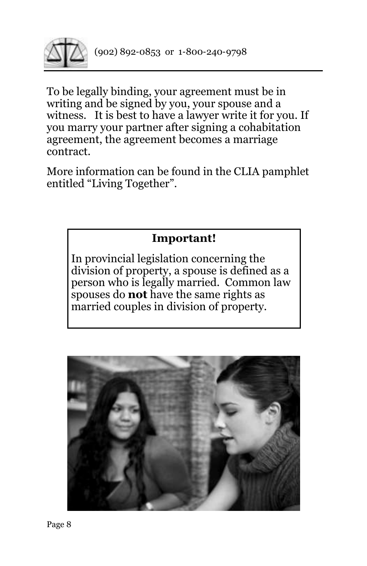

To be legally binding, your agreement must be in writing and be signed by you, your spouse and a witness. It is best to have a lawyer write it for you. If you marry your partner after signing a cohabitation agreement, the agreement becomes a marriage contract.

More information can be found in the CLIA pamphlet entitled "Living Together".



In provincial legislation concerning the division of property, a spouse is defined as a person who is legally married. Common law spouses do **not** have the same rights as married couples in division of property.

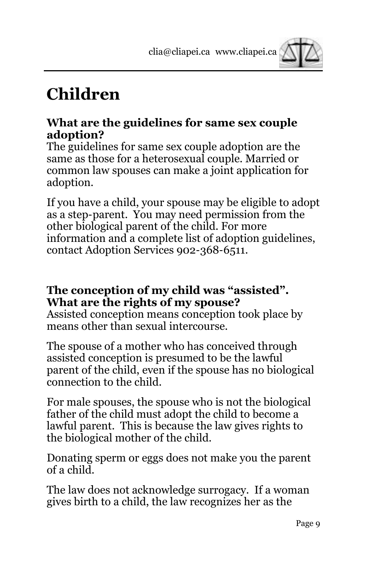

# **Children**

#### **What are the guidelines for same sex couple adoption?**

The guidelines for same sex couple adoption are the same as those for a heterosexual couple. Married or common law spouses can make a joint application for adoption.

If you have a child, your spouse may be eligible to adopt as a step-parent. You may need permission from the other biological parent of the child. For more information and a complete list of adoption guidelines, contact Adoption Services 902-368-6511.

#### **The conception of my child was "assisted". What are the rights of my spouse?**

Assisted conception means conception took place by means other than sexual intercourse.

The spouse of a mother who has conceived through assisted conception is presumed to be the lawful parent of the child, even if the spouse has no biological connection to the child.

For male spouses, the spouse who is not the biological father of the child must adopt the child to become a lawful parent. This is because the law gives rights to the biological mother of the child.

Donating sperm or eggs does not make you the parent of a child.

The law does not acknowledge surrogacy. If a woman gives birth to a child, the law recognizes her as the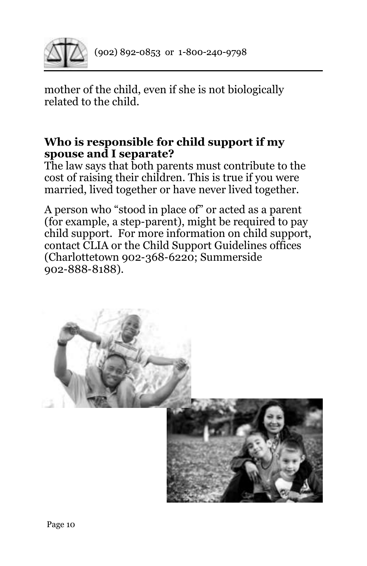

mother of the child, even if she is not biologically related to the child.

#### **Who is responsible for child support if my spouse and I separate?**

The law says that both parents must contribute to the cost of raising their children. This is true if you were married, lived together or have never lived together.

A person who "stood in place of" or acted as a parent (for example, a step-parent), might be required to pay child support. For more information on child support, contact CLIA or the Child Support Guidelines offices (Charlottetown 902-368-6220; Summerside 902-888-8188).

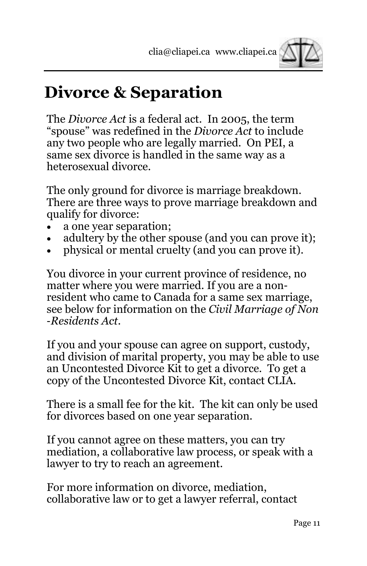

### **Divorce & Separation**

The *Divorce Act* is a federal act. In 2005, the term "spouse" was redefined in the *Divorce Act* to include any two people who are legally married. On PEI, a same sex divorce is handled in the same way as a heterosexual divorce.

The only ground for divorce is marriage breakdown. There are three ways to prove marriage breakdown and qualify for divorce:

- a one year separation;
- adultery by the other spouse (and you can prove it);
- physical or mental cruelty (and you can prove it).

You divorce in your current province of residence, no matter where you were married. If you are a nonresident who came to Canada for a same sex marriage, see below for information on the *Civil Marriage of Non -Residents Act*.

If you and your spouse can agree on support, custody, and division of marital property, you may be able to use an Uncontested Divorce Kit to get a divorce. To get a copy of the Uncontested Divorce Kit, contact CLIA.

There is a small fee for the kit. The kit can only be used for divorces based on one year separation.

If you cannot agree on these matters, you can try mediation, a collaborative law process, or speak with a lawyer to try to reach an agreement.

For more information on divorce, mediation, collaborative law or to get a lawyer referral, contact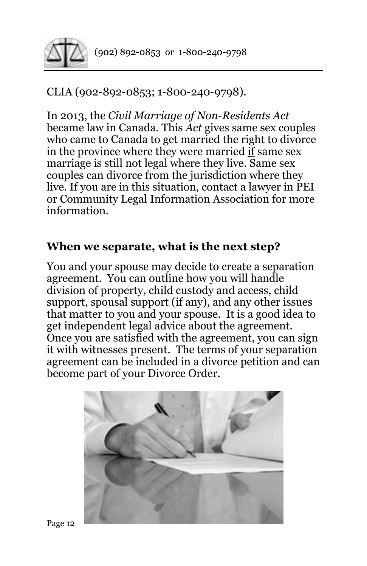

#### CLIA (902-892-0853; 1-800-240-9798).

In 2013, the *Civil Marriage of Non-Residents Act* became law in Canada. This *Act* gives same sex couples who came to Canada to get married the right to divorce in the province where they were married if same sex marriage is still not legal where they live. Same sex couples can divorce from the jurisdiction where they live. If you are in this situation, contact a lawyer in PEI or Community Legal Information Association for more information.

#### **When we separate, what is the next step?**

You and your spouse may decide to create a separation agreement. You can outline how you will handle division of property, child custody and access, child support, spousal support (if any), and any other issues that matter to you and your spouse. It is a good idea to get independent legal advice about the agreement. Once you are satisfied with the agreement, you can sign it with witnesses present. The terms of your separation agreement can be included in a divorce petition and can become part of your Divorce Order.

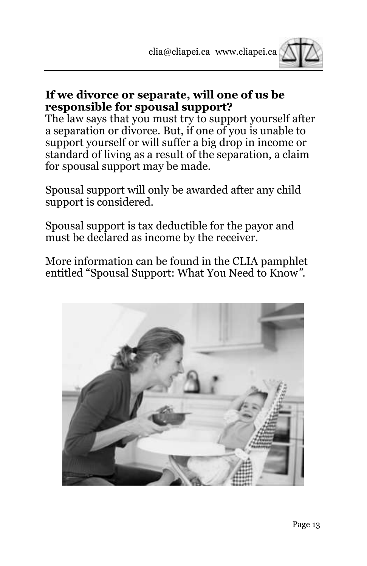

#### **If we divorce or separate, will one of us be responsible for spousal support?**

The law says that you must try to support yourself after a separation or divorce. But, if one of you is unable to support yourself or will suffer a big drop in income or standard of living as a result of the separation, a claim for spousal support may be made.

Spousal support will only be awarded after any child support is considered.

Spousal support is tax deductible for the payor and must be declared as income by the receiver.

More information can be found in the CLIA pamphlet entitled "Spousal Support: What You Need to Know*"*.

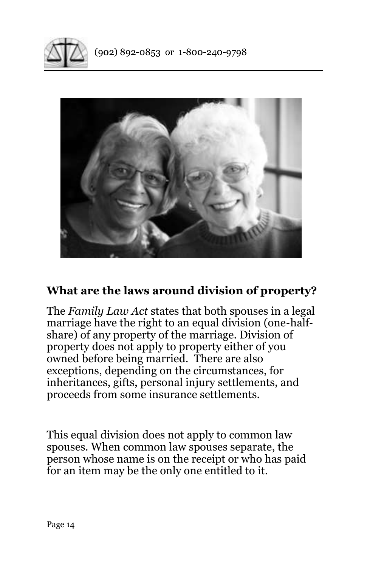



#### **What are the laws around division of property?**

The *Family Law Act* states that both spouses in a legal marriage have the right to an equal division (one-halfshare) of any property of the marriage. Division of property does not apply to property either of you owned before being married. There are also exceptions, depending on the circumstances, for inheritances, gifts, personal injury settlements, and proceeds from some insurance settlements.

This equal division does not apply to common law spouses. When common law spouses separate, the person whose name is on the receipt or who has paid for an item may be the only one entitled to it.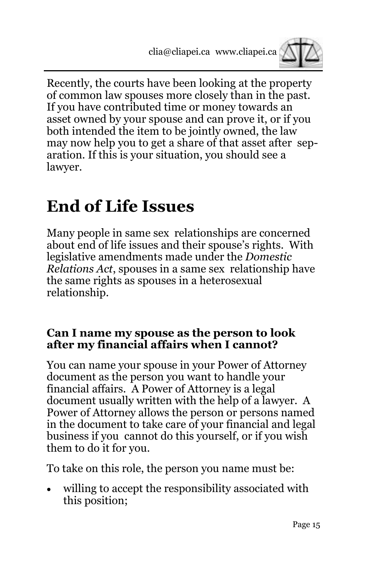

Recently, the courts have been looking at the property of common law spouses more closely than in the past. If you have contributed time or money towards an asset owned by your spouse and can prove it, or if you both intended the item to be jointly owned, the law may now help you to get a share of that asset after separation. If this is your situation, you should see a lawyer.

### **End of Life Issues**

Many people in same sex relationships are concerned about end of life issues and their spouse's rights. With legislative amendments made under the *Domestic Relations Act*, spouses in a same sex relationship have the same rights as spouses in a heterosexual relationship.

#### **Can I name my spouse as the person to look after my financial affairs when I cannot?**

You can name your spouse in your Power of Attorney document as the person you want to handle your financial affairs. A Power of Attorney is a legal document usually written with the help of a lawyer. A Power of Attorney allows the person or persons named in the document to take care of your financial and legal business if you cannot do this yourself, or if you wish them to do it for you.

To take on this role, the person you name must be:

willing to accept the responsibility associated with this position;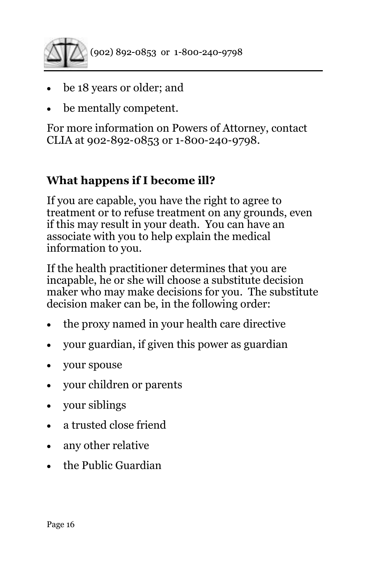

- be 18 years or older; and
- be mentally competent.

For more information on Powers of Attorney, contact CLIA at 902-892-0853 or 1-800-240-9798.

#### **What happens if I become ill?**

If you are capable, you have the right to agree to treatment or to refuse treatment on any grounds, even if this may result in your death. You can have an associate with you to help explain the medical information to you.

If the health practitioner determines that you are incapable, he or she will choose a substitute decision maker who may make decisions for you. The substitute decision maker can be, in the following order:

- the proxy named in your health care directive
- your guardian, if given this power as guardian
- your spouse
- your children or parents
- your siblings
- a trusted close friend
- any other relative
- the Public Guardian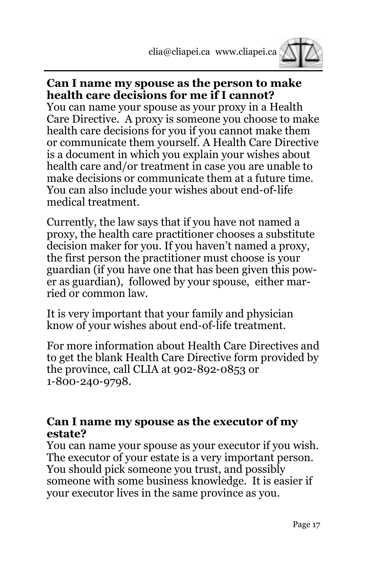

#### **Can I name my spouse as the person to make health care decisions for me if I cannot?**

You can name your spouse as your proxy in a Health Care Directive. A proxy is someone you choose to make health care decisions for you if you cannot make them or communicate them yourself. A Health Care Directive is a document in which you explain your wishes about health care and/or treatment in case you are unable to make decisions or communicate them at a future time. You can also include your wishes about end-of-life medical treatment.

Currently, the law says that if you have not named a proxy, the health care practitioner chooses a substitute decision maker for you. If you haven't named a proxy, the first person the practitioner must choose is your guardian (if you have one that has been given this power as guardian), followed by your spouse, either married or common law.

It is very important that your family and physician know of your wishes about end-of-life treatment.

For more information about Health Care Directives and to get the blank Health Care Directive form provided by the province, call CLIA at 902-892-0853 or 1-800-240-9798.

#### **Can I name my spouse as the executor of my estate?**

You can name your spouse as your executor if you wish. The executor of your estate is a very important person. You should pick someone you trust, and possibly someone with some business knowledge. It is easier if your executor lives in the same province as you.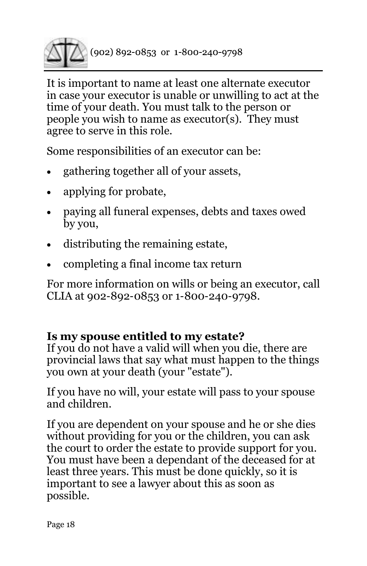

It is important to name at least one alternate executor in case your executor is unable or unwilling to act at the time of your death. You must talk to the person or people you wish to name as executor(s). They must agree to serve in this role.

Some responsibilities of an executor can be:

- gathering together all of your assets,
- applying for probate,
- paying all funeral expenses, debts and taxes owed by you,
- distributing the remaining estate,
- completing a final income tax return

For more information on wills or being an executor, call CLIA at 902-892-0853 or 1-800-240-9798.

#### **Is my spouse entitled to my estate?**

If you do not have a valid will when you die, there are provincial laws that say what must happen to the things you own at your death (your "estate").

If you have no will, your estate will pass to your spouse and children.

If you are dependent on your spouse and he or she dies without providing for you or the children, you can ask the court to order the estate to provide support for you. You must have been a dependant of the deceased for at least three years. This must be done quickly, so it is important to see a lawyer about this as soon as possible.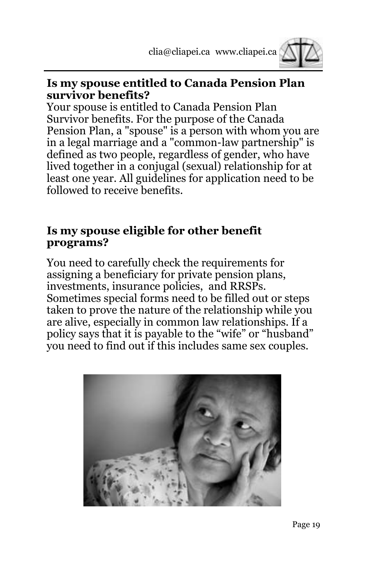

#### **Is my spouse entitled to Canada Pension Plan survivor benefits?**

Your spouse is entitled to Canada Pension Plan Survivor benefits. For the purpose of the Canada Pension Plan, a "spouse" is a person with whom you are in a legal marriage and a "common-law partnership" is defined as two people, regardless of gender, who have lived together in a conjugal (sexual) relationship for at least one year. All guidelines for application need to be followed to receive benefits.

#### **Is my spouse eligible for other benefit programs?**

You need to carefully check the requirements for assigning a beneficiary for private pension plans, investments, insurance policies, and RRSPs. Sometimes special forms need to be filled out or steps taken to prove the nature of the relationship while you are alive, especially in common law relationships. If a policy says that it is payable to the "wife" or "husband" you need to find out if this includes same sex couples.

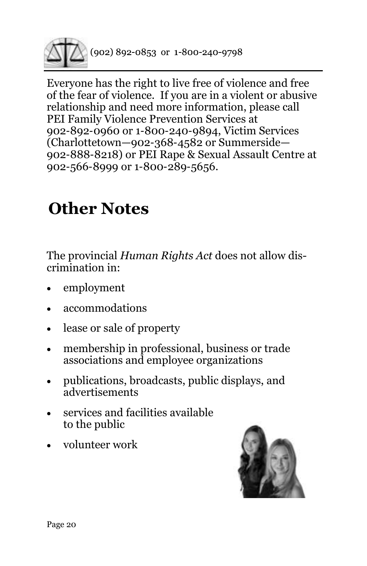

Everyone has the right to live free of violence and free of the fear of violence. If you are in a violent or abusive relationship and need more information, please call PEI Family Violence Prevention Services at 902-892-0960 or 1-800-240-9894, Victim Services (Charlottetown—902-368-4582 or Summerside— 902-888-8218) or PEI Rape & Sexual Assault Centre at 902-566-8999 or 1-800-289-5656.

# **Other Notes**

The provincial *Human Rights Act* does not allow discrimination in:

- employment
- accommodations
- lease or sale of property
- membership in professional, business or trade associations and employee organizations
- publications, broadcasts, public displays, and advertisements
- services and facilities available to the public
- volunteer work

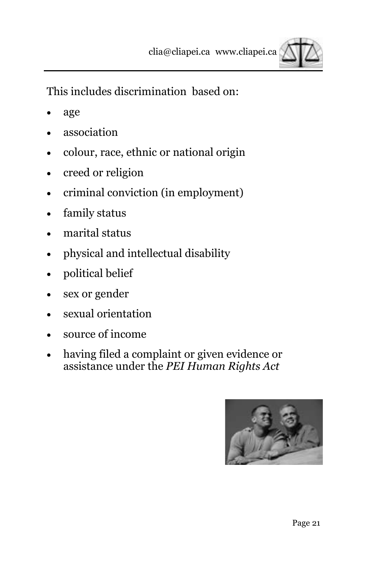

This includes discrimination based on:

- age
- association
- colour, race, ethnic or national origin
- creed or religion
- criminal conviction (in employment)
- family status
- marital status
- physical and intellectual disability
- political belief
- sex or gender
- sexual orientation
- source of income
- having filed a complaint or given evidence or assistance under the *PEI Human Rights Act*

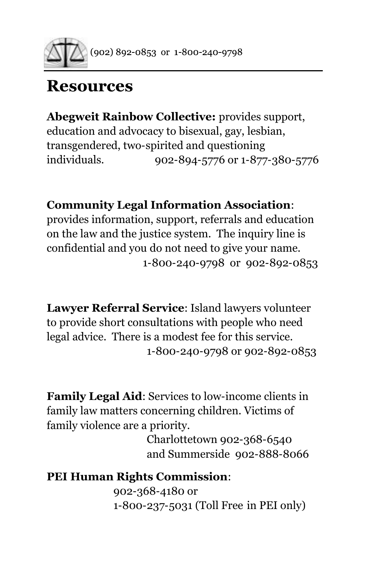

### **Resources**

**Abegweit Rainbow Collective:** provides support, education and advocacy to bisexual, gay, lesbian, transgendered, two-spirited and questioning individuals. 902-894-5776 or 1-877-380-5776

**Community Legal Information Association**:

provides information, support, referrals and education on the law and the justice system. The inquiry line is confidential and you do not need to give your name. 1-800-240-9798 or 902-892-0853

**Lawyer Referral Service**: Island lawyers volunteer to provide short consultations with people who need legal advice. There is a modest fee for this service. 1-800-240-9798 or 902-892-0853

**Family Legal Aid**: Services to low-income clients in family law matters concerning children. Victims of family violence are a priority.

> Charlottetown 902-368-6540 and Summerside 902-888-8066

**PEI Human Rights Commission**: 902-368-4180 or 1-800-237-5031 (Toll Free in PEI only)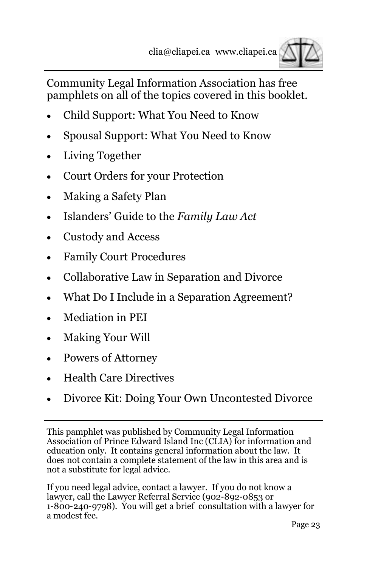

Community Legal Information Association has free pamphlets on all of the topics covered in this booklet.

- Child Support: What You Need to Know
- Spousal Support: What You Need to Know
- Living Together
- Court Orders for your Protection
- Making a Safety Plan
- Islanders' Guide to the *Family Law Act*
- Custody and Access
- Family Court Procedures
- Collaborative Law in Separation and Divorce
- What Do I Include in a Separation Agreement?
- Mediation in PEI
- Making Your Will
- Powers of Attorney
- Health Care Directives
- Divorce Kit: Doing Your Own Uncontested Divorce

This pamphlet was published by Community Legal Information Association of Prince Edward Island Inc (CLIA) for information and education only. It contains general information about the law. It does not contain a complete statement of the law in this area and is not a substitute for legal advice.

If you need legal advice, contact a lawyer. If you do not know a lawyer, call the Lawyer Referral Service (902-892-0853 or 1-800-240-9798). You will get a brief consultation with a lawyer for a modest fee.